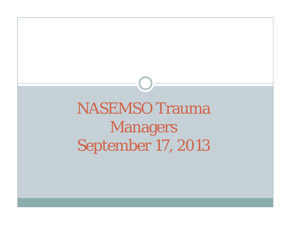## NASEMSO Trauma Managers September 17, 2013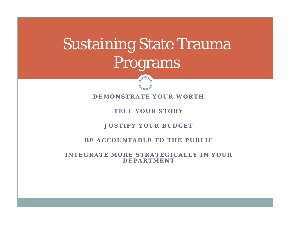## Sustaining State Trauma Programs

**DEMONSTRATE YOUR WORTH**

**TELL YOUR STORY**

**JUSTIFY YOUR BUDGET**

**BE ACCOUNTABLE TO THE PUBLIC**

**INTEGRATE MORE STRATEGICALLY IN YOUR DEPARTMENT**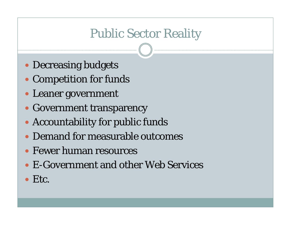## Public Sector Reality

- Decreasing budgets
- Competition for funds
- Leaner government
- Government transparency
- Accountability for public funds
- Demand for measurable outcomes
- Fewer human resources
- E-Government and other Web Services
- Etc.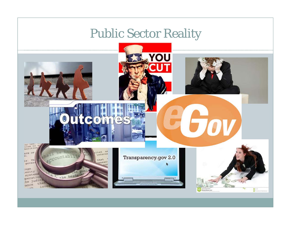## Public Sector Reality

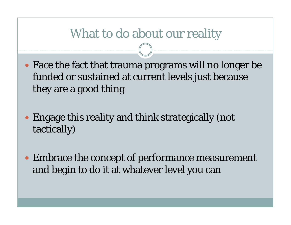### What to do about our reality

- Face the fact that trauma programs will no longer be funded or sustained at current levels just because they are a good thing
- Engage this reality and think strategically (not tactically)
- Embrace the concept of performance measurement and begin to do it at whatever level you can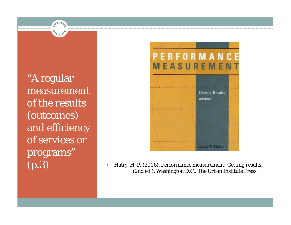"A regular measurement of the results (outcomes) and efficiency of services or programs"



(p.3) Hatry, H. P. (2006). *Performance measurement: Getting results*. (2nd ed.). Washington D.C.: The Urban Institute Press.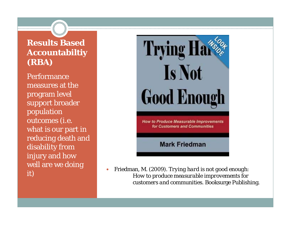#### **Results Based Accountabiltiy (RBA)**

Performance measures at the program level support broader population outcomes (i.e. what is our part in reducing death and disability from injury and how well are we doing it)



 $\bullet$  Friedman, M. (2009). *Trying hard is not good enough: How to produce measurable improvements for customers and communities*. Booksurge Publishing.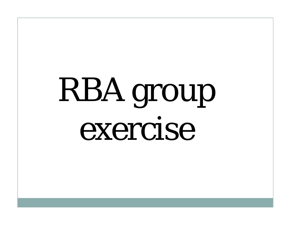# RBA group exercise